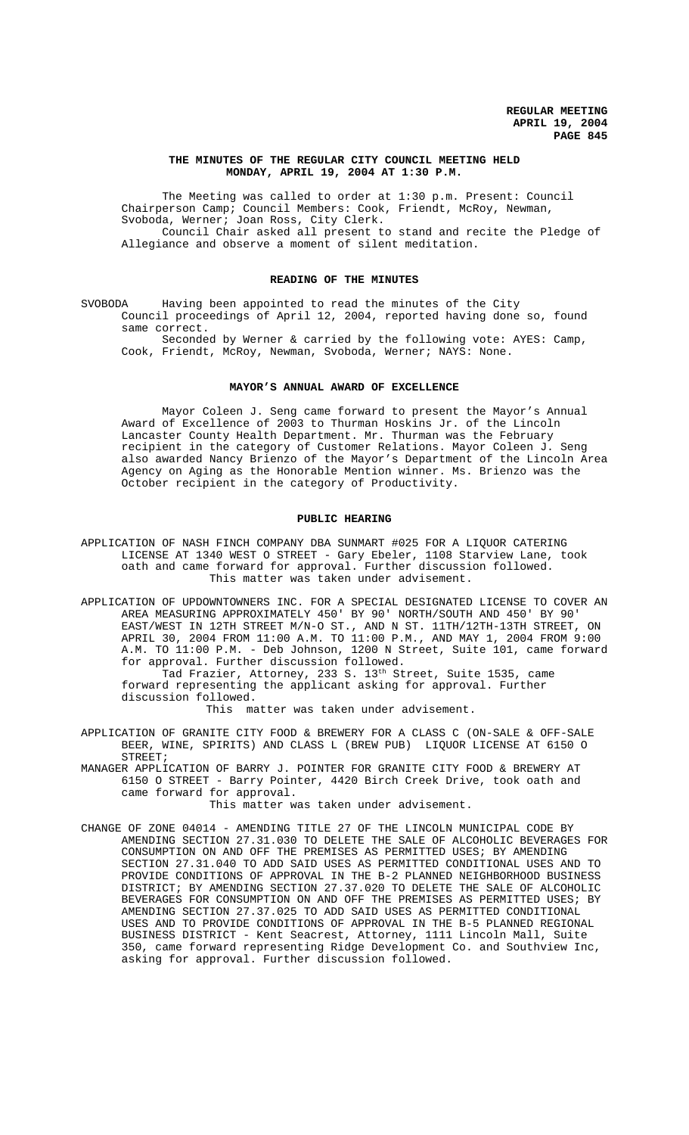## **THE MINUTES OF THE REGULAR CITY COUNCIL MEETING HELD MONDAY, APRIL 19, 2004 AT 1:30 P.M.**

The Meeting was called to order at 1:30 p.m. Present: Council Chairperson Camp; Council Members: Cook, Friendt, McRoy, Newman, Svoboda, Werner; Joan Ross, City Clerk. Council Chair asked all present to stand and recite the Pledge of

Allegiance and observe a moment of silent meditation.

## **READING OF THE MINUTES**

SVOBODA Having been appointed to read the minutes of the City Council proceedings of April 12, 2004, reported having done so, found same correct.

Seconded by Werner & carried by the following vote: AYES: Camp, Cook, Friendt, McRoy, Newman, Svoboda, Werner; NAYS: None.

## **MAYOR'S ANNUAL AWARD OF EXCELLENCE**

Mayor Coleen J. Seng came forward to present the Mayor's Annual Award of Excellence of 2003 to Thurman Hoskins Jr. of the Lincoln Lancaster County Health Department. Mr. Thurman was the February recipient in the category of Customer Relations. Mayor Coleen J. Seng also awarded Nancy Brienzo of the Mayor's Department of the Lincoln Area Agency on Aging as the Honorable Mention winner. Ms. Brienzo was the October recipient in the category of Productivity.

## **PUBLIC HEARING**

APPLICATION OF NASH FINCH COMPANY DBA SUNMART #025 FOR A LIQUOR CATERING LICENSE AT 1340 WEST O STREET - Gary Ebeler, 1108 Starview Lane, took oath and came forward for approval. Further discussion followed. This matter was taken under advisement.

APPLICATION OF UPDOWNTOWNERS INC. FOR A SPECIAL DESIGNATED LICENSE TO COVER AN AREA MEASURING APPROXIMATELY 450' BY 90' NORTH/SOUTH AND 450' BY 90' EAST/WEST IN 12TH STREET M/N-O ST., AND N ST. 11TH/12TH-13TH STREET, ON APRIL 30, 2004 FROM 11:00 A.M. TO 11:00 P.M., AND MAY 1, 2004 FROM 9:00 A.M. TO 11:00 P.M. - Deb Johnson, 1200 N Street, Suite 101, came forward for approval. Further discussion followed.

.<br>Tad Frazier, Attorney, 233 S. 13<sup>th</sup> Street, Suite 1535, came forward representing the applicant asking for approval. Further discussion followed.

This matter was taken under advisement.

APPLICATION OF GRANITE CITY FOOD & BREWERY FOR A CLASS C (ON-SALE & OFF-SALE BEER, WINE, SPIRITS) AND CLASS L (BREW PUB) LIQUOR LICENSE AT 6150 O STREET;

MANAGER APPLICATION OF BARRY J. POINTER FOR GRANITE CITY FOOD & BREWERY AT 6150 O STREET - Barry Pointer, 4420 Birch Creek Drive, took oath and came forward for approval.

This matter was taken under advisement.

CHANGE OF ZONE 04014 - AMENDING TITLE 27 OF THE LINCOLN MUNICIPAL CODE BY AMENDING SECTION 27.31.030 TO DELETE THE SALE OF ALCOHOLIC BEVERAGES FOR CONSUMPTION ON AND OFF THE PREMISES AS PERMITTED USES; BY AMENDING SECTION 27.31.040 TO ADD SAID USES AS PERMITTED CONDITIONAL USES AND TO PROVIDE CONDITIONS OF APPROVAL IN THE B-2 PLANNED NEIGHBORHOOD BUSINESS DISTRICT; BY AMENDING SECTION 27.37.020 TO DELETE THE SALE OF ALCOHOLIC BEVERAGES FOR CONSUMPTION ON AND OFF THE PREMISES AS PERMITTED USES; BY AMENDING SECTION 27.37.025 TO ADD SAID USES AS PERMITTED CONDITIONAL USES AND TO PROVIDE CONDITIONS OF APPROVAL IN THE B-5 PLANNED REGIONAL BUSINESS DISTRICT - Kent Seacrest, Attorney, 1111 Lincoln Mall, Suite 350, came forward representing Ridge Development Co. and Southview Inc, asking for approval. Further discussion followed.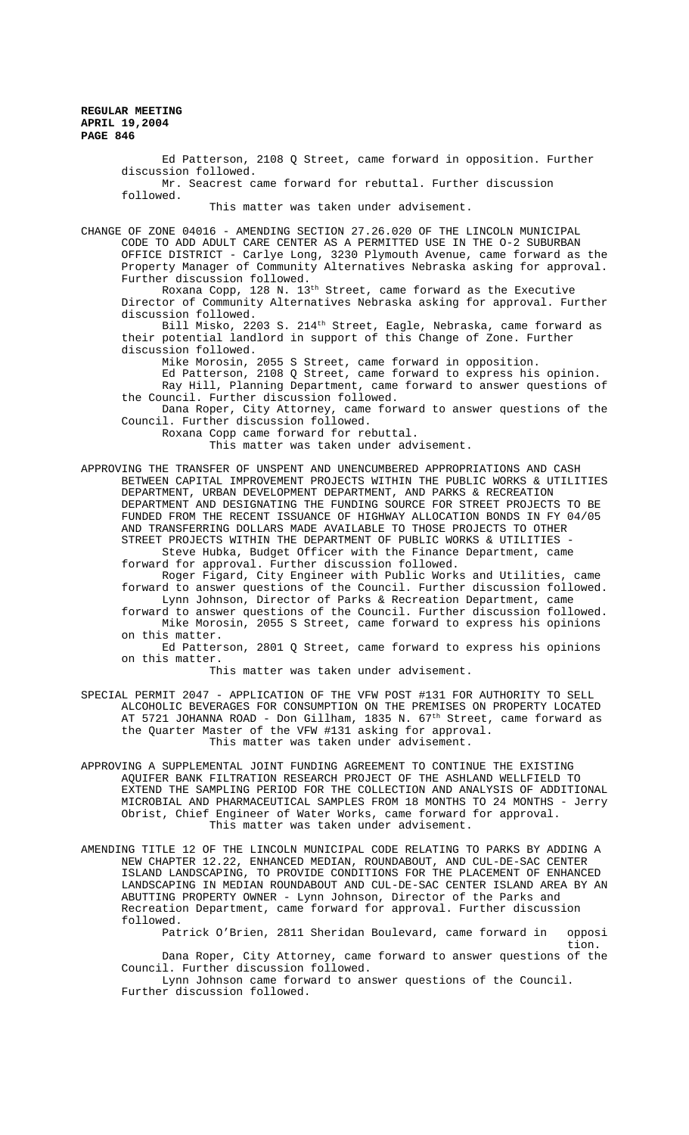> Ed Patterson, 2108 Q Street, came forward in opposition. Further discussion followed.

Mr. Seacrest came forward for rebuttal. Further discussion followed.

This matter was taken under advisement.

CHANGE OF ZONE 04016 - AMENDING SECTION 27.26.020 OF THE LINCOLN MUNICIPAL CODE TO ADD ADULT CARE CENTER AS A PERMITTED USE IN THE O-2 SUBURBAN OFFICE DISTRICT - Carlye Long, 3230 Plymouth Avenue, came forward as the Property Manager of Community Alternatives Nebraska asking for approval. Further discussion followed.

Roxana Copp, 128 N. 13th Street, came forward as the Executive Director of Community Alternatives Nebraska asking for approval. Further discussion followed.

Bill Misko, 2203 S. 214 $^{\rm th}$  Street, Eagle, Nebraska, came forward as their potential landlord in support of this Change of Zone. Further discussion followed.

Mike Morosin, 2055 S Street, came forward in opposition.

Ed Patterson, 2108 Q Street, came forward to express his opinion. Ray Hill, Planning Department, came forward to answer questions of the Council. Further discussion followed.

Dana Roper, City Attorney, came forward to answer questions of the Council. Further discussion followed.

Roxana Copp came forward for rebuttal.

This matter was taken under advisement.

APPROVING THE TRANSFER OF UNSPENT AND UNENCUMBERED APPROPRIATIONS AND CASH BETWEEN CAPITAL IMPROVEMENT PROJECTS WITHIN THE PUBLIC WORKS & UTILITIES DEPARTMENT, URBAN DEVELOPMENT DEPARTMENT, AND PARKS & RECREATION DEPARTMENT AND DESIGNATING THE FUNDING SOURCE FOR STREET PROJECTS TO BE FUNDED FROM THE RECENT ISSUANCE OF HIGHWAY ALLOCATION BONDS IN FY 04/05 AND TRANSFERRING DOLLARS MADE AVAILABLE TO THOSE PROJECTS TO OTHER STREET PROJECTS WITHIN THE DEPARTMENT OF PUBLIC WORKS & UTILITIES -

Steve Hubka, Budget Officer with the Finance Department, came forward for approval. Further discussion followed.

Roger Figard, City Engineer with Public Works and Utilities, came forward to answer questions of the Council. Further discussion followed. Lynn Johnson, Director of Parks & Recreation Department, came

forward to answer questions of the Council. Further discussion followed. Mike Morosin, 2055 S Street, came forward to express his opinions on this matter.

Ed Patterson, 2801 Q Street, came forward to express his opinions on this matter.

This matter was taken under advisement.

- SPECIAL PERMIT 2047 APPLICATION OF THE VFW POST #131 FOR AUTHORITY TO SELL ALCOHOLIC BEVERAGES FOR CONSUMPTION ON THE PREMISES ON PROPERTY LOCATED AT 5721 JOHANNA ROAD - Don Gillham, 1835 N. 67<sup>th</sup> Street, came forward as the Quarter Master of the VFW #131 asking for approval. This matter was taken under advisement.
- APPROVING A SUPPLEMENTAL JOINT FUNDING AGREEMENT TO CONTINUE THE EXISTING AQUIFER BANK FILTRATION RESEARCH PROJECT OF THE ASHLAND WELLFIELD TO EXTEND THE SAMPLING PERIOD FOR THE COLLECTION AND ANALYSIS OF ADDITIONAL MICROBIAL AND PHARMACEUTICAL SAMPLES FROM 18 MONTHS TO 24 MONTHS - Jerry Obrist, Chief Engineer of Water Works, came forward for approval. This matter was taken under advisement.
- AMENDING TITLE 12 OF THE LINCOLN MUNICIPAL CODE RELATING TO PARKS BY ADDING A NEW CHAPTER 12.22, ENHANCED MEDIAN, ROUNDABOUT, AND CUL-DE-SAC CENTER ISLAND LANDSCAPING, TO PROVIDE CONDITIONS FOR THE PLACEMENT OF ENHANCED LANDSCAPING IN MEDIAN ROUNDABOUT AND CUL-DE-SAC CENTER ISLAND AREA BY AN ABUTTING PROPERTY OWNER - Lynn Johnson, Director of the Parks and Recreation Department, came forward for approval. Further discussion followed.

Patrick O'Brien, 2811 Sheridan Boulevard, came forward in opposi

tion. Dana Roper, City Attorney, came forward to answer questions of the Council. Further discussion followed.

Lynn Johnson came forward to answer questions of the Council. Further discussion followed.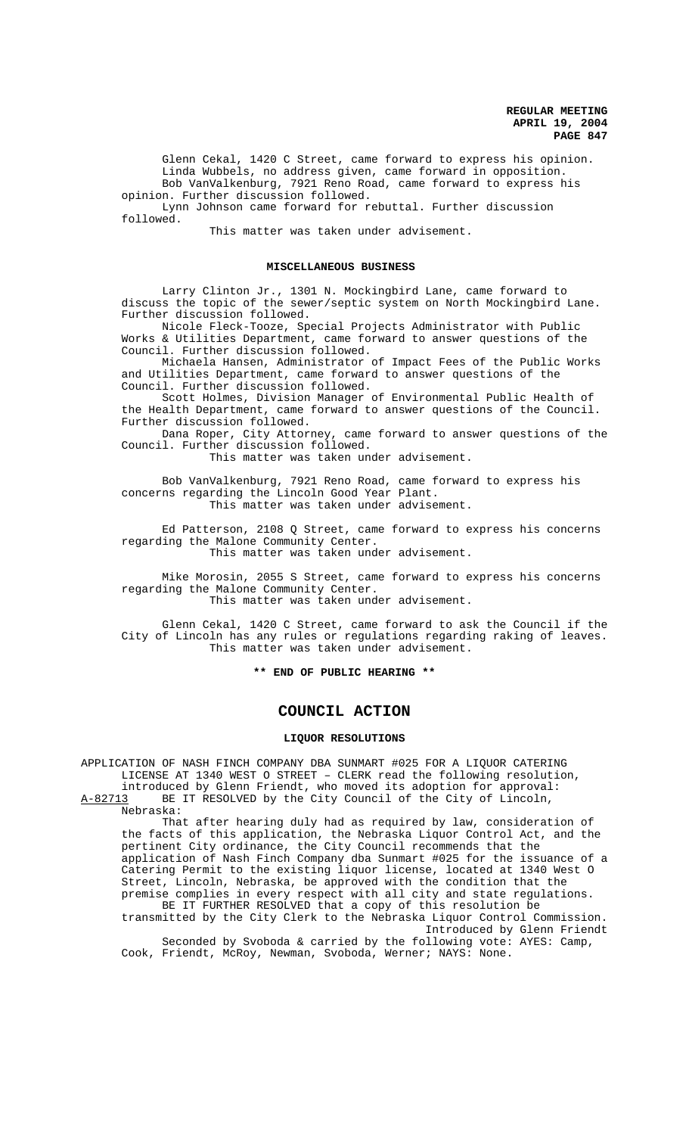Glenn Cekal, 1420 C Street, came forward to express his opinion. Linda Wubbels, no address given, came forward in opposition. Bob VanValkenburg, 7921 Reno Road, came forward to express his opinion. Further discussion followed.

Lynn Johnson came forward for rebuttal. Further discussion followed.

This matter was taken under advisement.

### MISCELLANEOUS BUSINESS

Larry Clinton Jr., 1301 N. Mockingbird Lane, came forward to discuss the topic of the sewer/septic system on North Mockingbird Lane. Further discussion followed.

Nicole Fleck-Tooze, Special Projects Administrator with Public Works & Utilities Department, came forward to answer questions of the Council. Further discussion followed.

Michaela Hansen, Administrator of Impact Fees of the Public Works and Utilities Department, came forward to answer questions of the Council. Further discussion followed.

Scott Holmes, Division Manager of Environmental Public Health of the Health Department, came forward to answer questions of the Council. Further discussion followed.

Dana Roper, City Attorney, came forward to answer questions of the Council. Further discussion followed.

This matter was taken under advisement.

Bob VanValkenburg, 7921 Reno Road, came forward to express his concerns regarding the Lincoln Good Year Plant. This matter was taken under advisement.

Ed Patterson, 2108 Q Street, came forward to express his concerns regarding the Malone Community Center. This matter was taken under advisement.

Mike Morosin, 2055 S Street, came forward to express his concerns regarding the Malone Community Center.

This matter was taken under advisement.

Glenn Cekal, 1420 C Street, came forward to ask the Council if the City of Lincoln has any rules or regulations regarding raking of leaves. This matter was taken under advisement.

**\*\* END OF PUBLIC HEARING \*\***

# **COUNCIL ACTION**

#### **LIQUOR RESOLUTIONS**

APPLICATION OF NASH FINCH COMPANY DBA SUNMART #025 FOR A LIQUOR CATERING LICENSE AT 1340 WEST O STREET – CLERK read the following resolution, introduced by Glenn Friendt, who moved its adoption for approval:<br>A-82713 BE IT RESOLVED by the City Council of the City of Lincoln, BE IT RESOLVED by the City Council of the City of Lincoln, Nebraska:

That after hearing duly had as required by law, consideration of the facts of this application, the Nebraska Liquor Control Act, and the pertinent City ordinance, the City Council recommends that the application of Nash Finch Company dba Sunmart #025 for the issuance of a Catering Permit to the existing liquor license, located at 1340 West O Street, Lincoln, Nebraska, be approved with the condition that the premise complies in every respect with all city and state regulations. BE IT FURTHER RESOLVED that a copy of this resolution be transmitted by the City Clerk to the Nebraska Liquor Control Commission. Introduced by Glenn Friendt

Seconded by Svoboda & carried by the following vote: AYES: Camp, Cook, Friendt, McRoy, Newman, Svoboda, Werner; NAYS: None.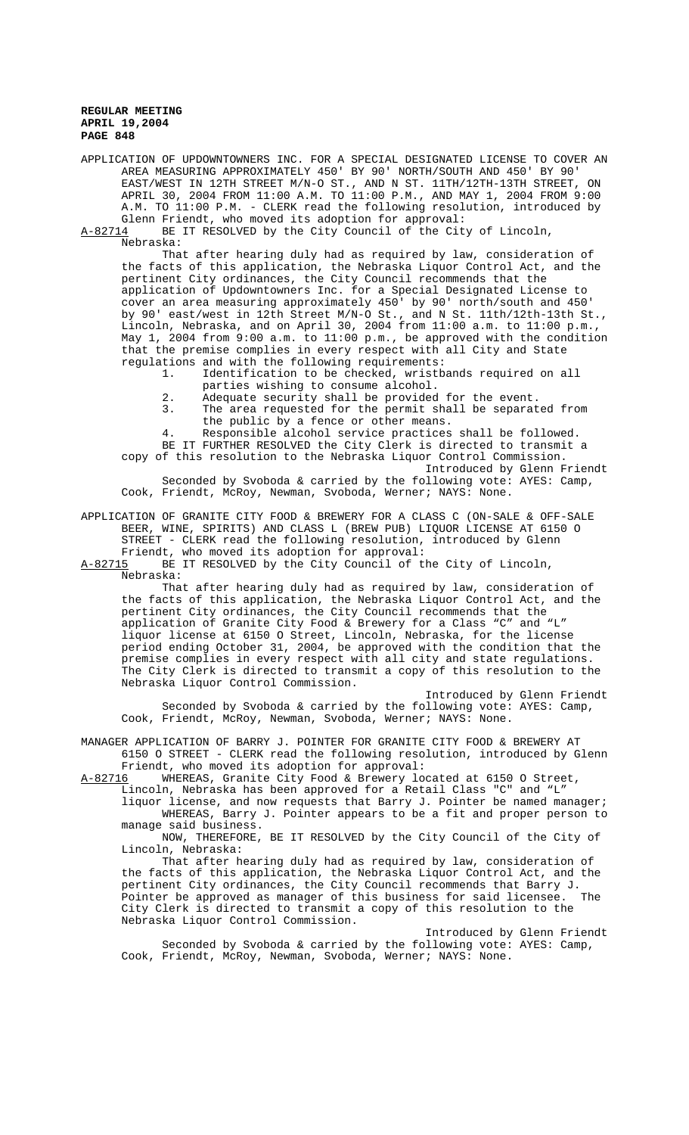APPLICATION OF UPDOWNTOWNERS INC. FOR A SPECIAL DESIGNATED LICENSE TO COVER AN AREA MEASURING APPROXIMATELY 450' BY 90' NORTH/SOUTH AND 450' BY 90' EAST/WEST IN 12TH STREET M/N-O ST., AND N ST. 11TH/12TH-13TH STREET, ON APRIL 30, 2004 FROM 11:00 A.M. TO 11:00 P.M., AND MAY 1, 2004 FROM 9:00 A.M. TO 11:00 P.M. - CLERK read the following resolution, introduced by Glenn Friendt, who moved its adoption for approval:

A-82714 BE IT RESOLVED by the City Council of the City of Lincoln, Nebraska:

That after hearing duly had as required by law, consideration of the facts of this application, the Nebraska Liquor Control Act, and the pertinent City ordinances, the City Council recommends that the application of Updowntowners Inc. for a Special Designated License to cover an area measuring approximately 450' by 90' north/south and 450' by 90' east/west in 12th Street M/N-O St., and N St. 11th/12th-13th St., Lincoln, Nebraska, and on April 30, 2004 from 11:00 a.m. to 11:00 p.m., May 1, 2004 from 9:00 a.m. to 11:00 p.m., be approved with the condition that the premise complies in every respect with all City and State regulations and with the following requirements:

- 1. Identification to be checked, wristbands required on all parties wishing to consume alcohol.
- 2. Adequate security shall be provided for the event.<br>3. The area requested for the permit shall be separat
- The area requested for the permit shall be separated from the public by a fence or other means.

4. Responsible alcohol service practices shall be followed. BE IT FURTHER RESOLVED the City Clerk is directed to transmit a

copy of this resolution to the Nebraska Liquor Control Commission. Introduced by Glenn Friendt Seconded by Svoboda & carried by the following vote: AYES: Camp,

Cook, Friendt, McRoy, Newman, Svoboda, Werner; NAYS: None.

APPLICATION OF GRANITE CITY FOOD & BREWERY FOR A CLASS C (ON-SALE & OFF-SALE BEER, WINE, SPIRITS) AND CLASS L (BREW PUB) LIQUOR LICENSE AT 6150 O STREET - CLERK read the following resolution, introduced by Glenn

Friendt, who moved its adoption for approval:<br>A-82715 BE IT RESOLVED by the City Council of t BE IT RESOLVED by the City Council of the City of Lincoln, Nebraska:

That after hearing duly had as required by law, consideration of the facts of this application, the Nebraska Liquor Control Act, and the pertinent City ordinances, the City Council recommends that the application of Granite City Food & Brewery for a Class "C" and "L" liquor license at 6150 O Street, Lincoln, Nebraska, for the license period ending October 31, 2004, be approved with the condition that the premise complies in every respect with all city and state regulations. The City Clerk is directed to transmit a copy of this resolution to the Nebraska Liquor Control Commission.

Introduced by Glenn Friendt Seconded by Svoboda & carried by the following vote: AYES: Camp, Cook, Friendt, McRoy, Newman, Svoboda, Werner; NAYS: None.

MANAGER APPLICATION OF BARRY J. POINTER FOR GRANITE CITY FOOD & BREWERY AT 6150 O STREET - CLERK read the following resolution, introduced by Glenn Friendt, who moved its adoption for approval:

A-82716 WHEREAS, Granite City Food & Brewery located at 6150 O Street, Lincoln, Nebraska has been approved for a Retail Class "C" and "L"

liquor license, and now requests that Barry J. Pointer be named manager; WHEREAS, Barry J. Pointer appears to be a fit and proper person to manage said business.

NOW, THEREFORE, BE IT RESOLVED by the City Council of the City of Lincoln, Nebraska:

That after hearing duly had as required by law, consideration of the facts of this application, the Nebraska Liquor Control Act, and the pertinent City ordinances, the City Council recommends that Barry J. Pointer be approved as manager of this business for said licensee. The City Clerk is directed to transmit a copy of this resolution to the Nebraska Liquor Control Commission.

Introduced by Glenn Friendt Seconded by Svoboda & carried by the following vote: AYES: Camp, Cook, Friendt, McRoy, Newman, Svoboda, Werner; NAYS: None.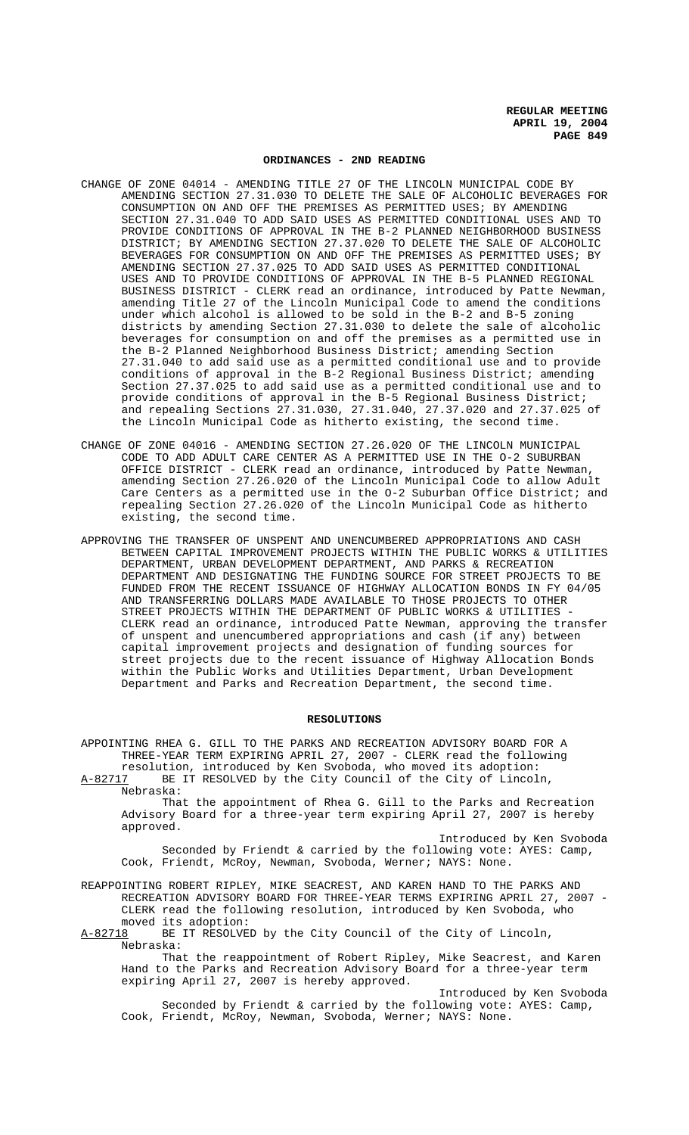### **ORDINANCES - 2ND READING**

- CHANGE OF ZONE 04014 AMENDING TITLE 27 OF THE LINCOLN MUNICIPAL CODE BY AMENDING SECTION 27.31.030 TO DELETE THE SALE OF ALCOHOLIC BEVERAGES FOR CONSUMPTION ON AND OFF THE PREMISES AS PERMITTED USES; BY AMENDING SECTION 27.31.040 TO ADD SAID USES AS PERMITTED CONDITIONAL USES AND TO PROVIDE CONDITIONS OF APPROVAL IN THE B-2 PLANNED NEIGHBORHOOD BUSINESS DISTRICT; BY AMENDING SECTION 27.37.020 TO DELETE THE SALE OF ALCOHOLIC BEVERAGES FOR CONSUMPTION ON AND OFF THE PREMISES AS PERMITTED USES; BY AMENDING SECTION 27.37.025 TO ADD SAID USES AS PERMITTED CONDITIONAL USES AND TO PROVIDE CONDITIONS OF APPROVAL IN THE B-5 PLANNED REGIONAL BUSINESS DISTRICT - CLERK read an ordinance, introduced by Patte Newman, amending Title 27 of the Lincoln Municipal Code to amend the conditions under which alcohol is allowed to be sold in the B-2 and B-5 zoning districts by amending Section 27.31.030 to delete the sale of alcoholic beverages for consumption on and off the premises as a permitted use in the B-2 Planned Neighborhood Business District; amending Section 27.31.040 to add said use as a permitted conditional use and to provide conditions of approval in the B-2 Regional Business District; amending Section 27.37.025 to add said use as a permitted conditional use and to provide conditions of approval in the B-5 Regional Business District; and repealing Sections 27.31.030, 27.31.040, 27.37.020 and 27.37.025 of the Lincoln Municipal Code as hitherto existing, the second time.
- CHANGE OF ZONE 04016 AMENDING SECTION 27.26.020 OF THE LINCOLN MUNICIPAL CODE TO ADD ADULT CARE CENTER AS A PERMITTED USE IN THE O-2 SUBURBAN OFFICE DISTRICT - CLERK read an ordinance, introduced by Patte Newman, amending Section 27.26.020 of the Lincoln Municipal Code to allow Adult Care Centers as a permitted use in the O-2 Suburban Office District; and repealing Section 27.26.020 of the Lincoln Municipal Code as hitherto existing, the second time.
- APPROVING THE TRANSFER OF UNSPENT AND UNENCUMBERED APPROPRIATIONS AND CASH BETWEEN CAPITAL IMPROVEMENT PROJECTS WITHIN THE PUBLIC WORKS & UTILITIES DEPARTMENT, URBAN DEVELOPMENT DEPARTMENT, AND PARKS & RECREATION DEPARTMENT AND DESIGNATING THE FUNDING SOURCE FOR STREET PROJECTS TO BE FUNDED FROM THE RECENT ISSUANCE OF HIGHWAY ALLOCATION BONDS IN FY 04/05 AND TRANSFERRING DOLLARS MADE AVAILABLE TO THOSE PROJECTS TO OTHER STREET PROJECTS WITHIN THE DEPARTMENT OF PUBLIC WORKS & UTILITIES CLERK read an ordinance, introduced Patte Newman, approving the transfer of unspent and unencumbered appropriations and cash (if any) between capital improvement projects and designation of funding sources for street projects due to the recent issuance of Highway Allocation Bonds within the Public Works and Utilities Department, Urban Development Department and Parks and Recreation Department, the second time.

### **RESOLUTIONS**

APPOINTING RHEA G. GILL TO THE PARKS AND RECREATION ADVISORY BOARD FOR A THREE-YEAR TERM EXPIRING APRIL 27, 2007 - CLERK read the following resolution, introduced by Ken Svoboda, who moved its adoption: A-82717 BE IT RESOLVED by the City Council of the City of Lincoln,

Nebraska: That the appointment of Rhea G. Gill to the Parks and Recreation Advisory Board for a three-year term expiring April 27, 2007 is hereby approved.

Introduced by Ken Svoboda Seconded by Friendt & carried by the following vote: AYES: Camp, Cook, Friendt, McRoy, Newman, Svoboda, Werner; NAYS: None.

REAPPOINTING ROBERT RIPLEY, MIKE SEACREST, AND KAREN HAND TO THE PARKS AND RECREATION ADVISORY BOARD FOR THREE-YEAR TERMS EXPIRING APRIL 27, 2007 - CLERK read the following resolution, introduced by Ken Svoboda, who moved its adoption:

A-82718 BE IT RESOLVED by the City Council of the City of Lincoln, Nebraska:

That the reappointment of Robert Ripley, Mike Seacrest, and Karen Hand to the Parks and Recreation Advisory Board for a three-year term expiring April 27, 2007 is hereby approved.

Introduced by Ken Svoboda Seconded by Friendt & carried by the following vote: AYES: Camp, Cook, Friendt, McRoy, Newman, Svoboda, Werner; NAYS: None.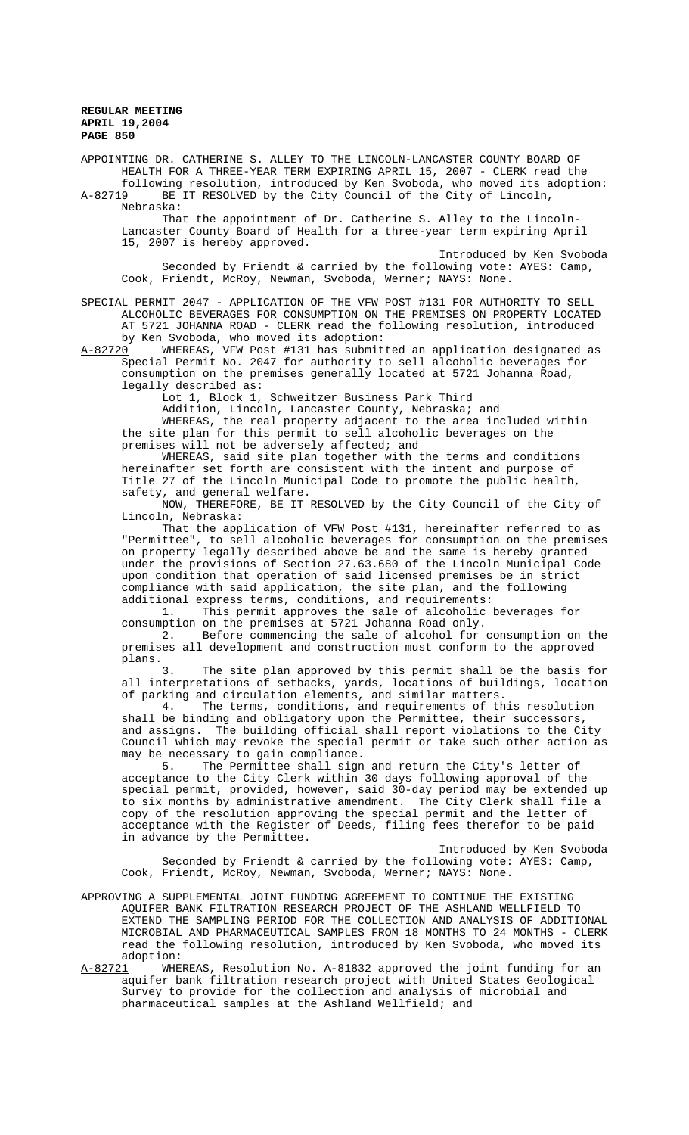APPOINTING DR. CATHERINE S. ALLEY TO THE LINCOLN-LANCASTER COUNTY BOARD OF HEALTH FOR A THREE-YEAR TERM EXPIRING APRIL 15, 2007 - CLERK read the following resolution, introduced by Ken Svoboda, who moved its adoption: A-82719 BE IT RESOLVED by the City Council of the City of Lincoln,

Nebraska:

That the appointment of Dr. Catherine S. Alley to the Lincoln-Lancaster County Board of Health for a three-year term expiring April 15, 2007 is hereby approved.

Introduced by Ken Svoboda Seconded by Friendt & carried by the following vote:  $\text{AYES: } \text{ Camp},$ Cook, Friendt, McRoy, Newman, Svoboda, Werner; NAYS: None.

SPECIAL PERMIT 2047 - APPLICATION OF THE VFW POST #131 FOR AUTHORITY TO SELL ALCOHOLIC BEVERAGES FOR CONSUMPTION ON THE PREMISES ON PROPERTY LOCATED AT 5721 JOHANNA ROAD - CLERK read the following resolution, introduced by Ken Svoboda, who moved its adoption:

A-82720 WHEREAS, VFW Post #131 has submitted an application designated as Special Permit No. 2047 for authority to sell alcoholic beverages for consumption on the premises generally located at 5721 Johanna Road, legally described as:

Lot 1, Block 1, Schweitzer Business Park Third

Addition, Lincoln, Lancaster County, Nebraska; and

WHEREAS, the real property adjacent to the area included within the site plan for this permit to sell alcoholic beverages on the premises will not be adversely affected; and

WHEREAS, said site plan together with the terms and conditions hereinafter set forth are consistent with the intent and purpose of Title 27 of the Lincoln Municipal Code to promote the public health, safety, and general welfare.

NOW, THEREFORE, BE IT RESOLVED by the City Council of the City of Lincoln, Nebraska:

That the application of VFW Post #131, hereinafter referred to as "Permittee", to sell alcoholic beverages for consumption on the premises on property legally described above be and the same is hereby granted under the provisions of Section 27.63.680 of the Lincoln Municipal Code upon condition that operation of said licensed premises be in strict compliance with said application, the site plan, and the following additional express terms, conditions, and requirements:

1. This permit approves the sale of alcoholic beverages for consumption on the premises at 5721 Johanna Road only.

2. Before commencing the sale of alcohol for consumption on the premises all development and construction must conform to the approved plans.

3. The site plan approved by this permit shall be the basis for all interpretations of setbacks, yards, locations of buildings, location of parking and circulation elements, and similar matters.<br>4. The terms, conditions, and requirements of the

The terms, conditions, and requirements of this resolution shall be binding and obligatory upon the Permittee, their successors, and assigns. The building official shall report violations to the City Council which may revoke the special permit or take such other action as may be necessary to gain compliance.<br>5. The Permittee shall sign

The Permittee shall sign and return the City's letter of acceptance to the City Clerk within 30 days following approval of the special permit, provided, however, said 30-day period may be extended up to six months by administrative amendment. The City Clerk shall file a copy of the resolution approving the special permit and the letter of acceptance with the Register of Deeds, filing fees therefor to be paid in advance by the Permittee.

Introduced by Ken Svoboda Seconded by Friendt & carried by the following vote: AYES: Camp, Cook, Friendt, McRoy, Newman, Svoboda, Werner; NAYS: None.

APPROVING A SUPPLEMENTAL JOINT FUNDING AGREEMENT TO CONTINUE THE EXISTING AQUIFER BANK FILTRATION RESEARCH PROJECT OF THE ASHLAND WELLFIELD TO EXTEND THE SAMPLING PERIOD FOR THE COLLECTION AND ANALYSIS OF ADDITIONAL MICROBIAL AND PHARMACEUTICAL SAMPLES FROM 18 MONTHS TO 24 MONTHS - CLERK read the following resolution, introduced by Ken Svoboda, who moved its adoption:

A-82721 WHEREAS, Resolution No. A-81832 approved the joint funding for an aquifer bank filtration research project with United States Geological Survey to provide for the collection and analysis of microbial and pharmaceutical samples at the Ashland Wellfield; and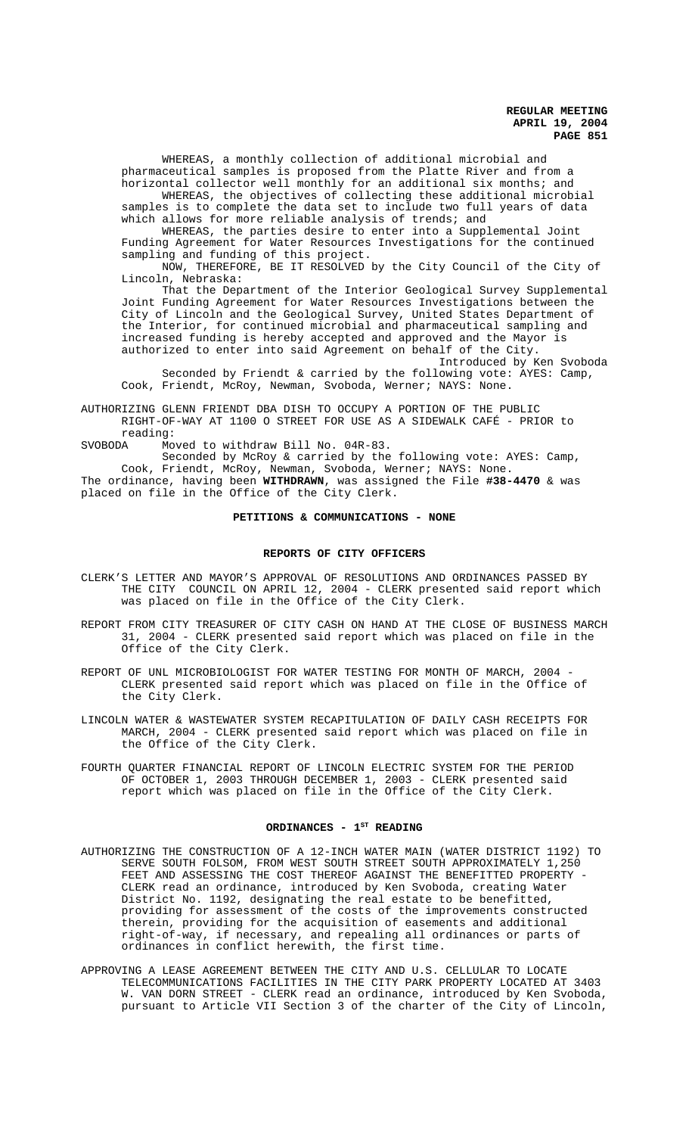WHEREAS, a monthly collection of additional microbial and pharmaceutical samples is proposed from the Platte River and from a horizontal collector well monthly for an additional six months; and WHEREAS, the objectives of collecting these additional microbial samples is to complete the data set to include two full years of data

which allows for more reliable analysis of trends; and WHEREAS, the parties desire to enter into a Supplemental Joint

Funding Agreement for Water Resources Investigations for the continued sampling and funding of this project.

NOW, THEREFORE, BE IT RESOLVED by the City Council of the City of Lincoln, Nebraska:

That the Department of the Interior Geological Survey Supplemental Joint Funding Agreement for Water Resources Investigations between the City of Lincoln and the Geological Survey, United States Department of the Interior, for continued microbial and pharmaceutical sampling and increased funding is hereby accepted and approved and the Mayor is authorized to enter into said Agreement on behalf of the City.

Introduced by Ken Svoboda Seconded by Friendt & carried by the following vote: AYES: Camp, Cook, Friendt, McRoy, Newman, Svoboda, Werner; NAYS: None.

AUTHORIZING GLENN FRIENDT DBA DISH TO OCCUPY A PORTION OF THE PUBLIC RIGHT-OF-WAY AT 1100 O STREET FOR USE AS A SIDEWALK CAFÉ - PRIOR to reading:<br>SVOBODA Mo

Moved to withdraw Bill No. 04R-83.

Seconded by McRoy & carried by the following vote: AYES: Camp, Cook, Friendt, McRoy, Newman, Svoboda, Werner; NAYS: None.

The ordinance, having been **WITHDRAWN**, was assigned the File **#38-4470** & was placed on file in the Office of the City Clerk.

## **PETITIONS & COMMUNICATIONS - NONE**

#### **REPORTS OF CITY OFFICERS**

- CLERK'S LETTER AND MAYOR'S APPROVAL OF RESOLUTIONS AND ORDINANCES PASSED BY THE CITY COUNCIL ON APRIL 12, 2004 - CLERK presented said report which was placed on file in the Office of the City Clerk.
- REPORT FROM CITY TREASURER OF CITY CASH ON HAND AT THE CLOSE OF BUSINESS MARCH 31, 2004 - CLERK presented said report which was placed on file in the Office of the City Clerk.
- REPORT OF UNL MICROBIOLOGIST FOR WATER TESTING FOR MONTH OF MARCH, 2004 -CLERK presented said report which was placed on file in the Office of the City Clerk.
- LINCOLN WATER & WASTEWATER SYSTEM RECAPITULATION OF DAILY CASH RECEIPTS FOR MARCH, 2004 - CLERK presented said report which was placed on file in the Office of the City Clerk.
- FOURTH QUARTER FINANCIAL REPORT OF LINCOLN ELECTRIC SYSTEM FOR THE PERIOD OF OCTOBER 1, 2003 THROUGH DECEMBER 1, 2003 - CLERK presented said report which was placed on file in the Office of the City Clerk.

## ORDINANCES - 1<sup>st</sup> READING

- AUTHORIZING THE CONSTRUCTION OF A 12-INCH WATER MAIN (WATER DISTRICT 1192) TO SERVE SOUTH FOLSOM, FROM WEST SOUTH STREET SOUTH APPROXIMATELY 1,250 FEET AND ASSESSING THE COST THEREOF AGAINST THE BENEFITTED PROPERTY - CLERK read an ordinance, introduced by Ken Svoboda, creating Water District No. 1192, designating the real estate to be benefitted, providing for assessment of the costs of the improvements constructed therein, providing for the acquisition of easements and additional right-of-way, if necessary, and repealing all ordinances or parts of ordinances in conflict herewith, the first time.
- APPROVING A LEASE AGREEMENT BETWEEN THE CITY AND U.S. CELLULAR TO LOCATE TELECOMMUNICATIONS FACILITIES IN THE CITY PARK PROPERTY LOCATED AT 3403 W. VAN DORN STREET - CLERK read an ordinance, introduced by Ken Svoboda, pursuant to Article VII Section 3 of the charter of the City of Lincoln,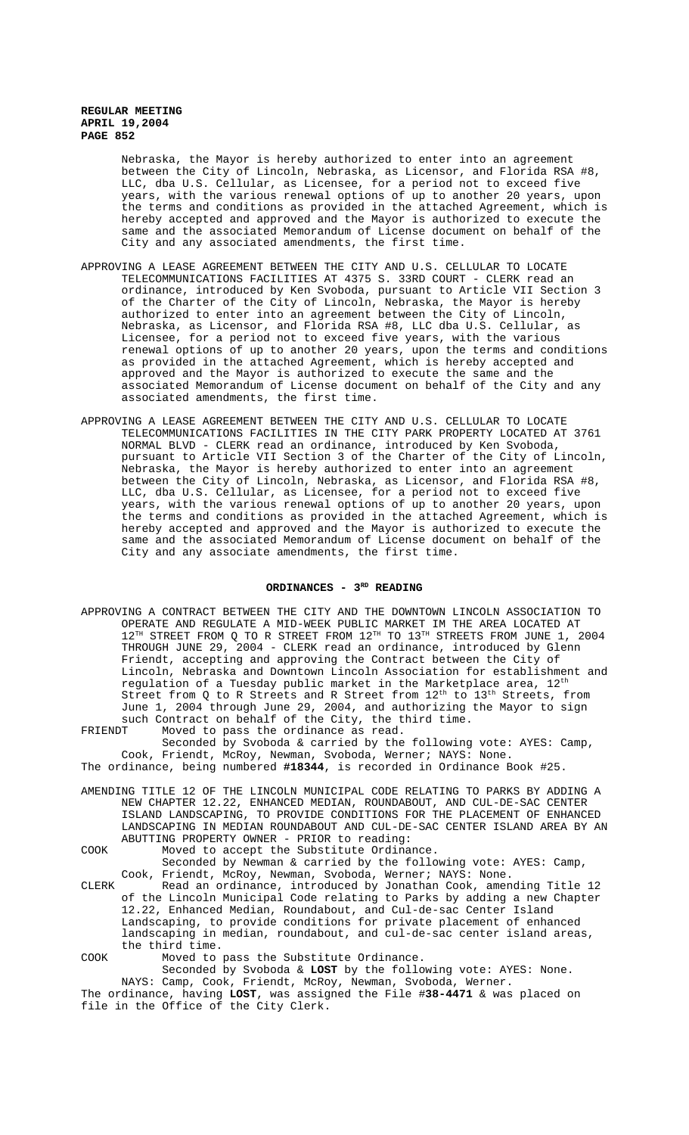Nebraska, the Mayor is hereby authorized to enter into an agreement between the City of Lincoln, Nebraska, as Licensor, and Florida RSA #8, LLC, dba U.S. Cellular, as Licensee, for a period not to exceed five years, with the various renewal options of up to another 20 years, upon the terms and conditions as provided in the attached Agreement, which is hereby accepted and approved and the Mayor is authorized to execute the same and the associated Memorandum of License document on behalf of the City and any associated amendments, the first time.

- APPROVING A LEASE AGREEMENT BETWEEN THE CITY AND U.S. CELLULAR TO LOCATE TELECOMMUNICATIONS FACILITIES AT 4375 S. 33RD COURT - CLERK read an ordinance, introduced by Ken Svoboda, pursuant to Article VII Section 3 of the Charter of the City of Lincoln, Nebraska, the Mayor is hereby authorized to enter into an agreement between the City of Lincoln, Nebraska, as Licensor, and Florida RSA #8, LLC dba U.S. Cellular, as Licensee, for a period not to exceed five years, with the various renewal options of up to another 20 years, upon the terms and conditions as provided in the attached Agreement, which is hereby accepted and approved and the Mayor is authorized to execute the same and the associated Memorandum of License document on behalf of the City and any associated amendments, the first time.
- APPROVING A LEASE AGREEMENT BETWEEN THE CITY AND U.S. CELLULAR TO LOCATE TELECOMMUNICATIONS FACILITIES IN THE CITY PARK PROPERTY LOCATED AT 3761 NORMAL BLVD - CLERK read an ordinance, introduced by Ken Svoboda, pursuant to Article VII Section 3 of the Charter of the City of Lincoln, Nebraska, the Mayor is hereby authorized to enter into an agreement between the City of Lincoln, Nebraska, as Licensor, and Florida RSA #8, LLC, dba U.S. Cellular, as Licensee, for a period not to exceed five years, with the various renewal options of up to another 20 years, upon the terms and conditions as provided in the attached Agreement, which is hereby accepted and approved and the Mayor is authorized to execute the same and the associated Memorandum of License document on behalf of the City and any associate amendments, the first time.

## ORDINANCES - 3<sup>RD</sup> READING

APPROVING A CONTRACT BETWEEN THE CITY AND THE DOWNTOWN LINCOLN ASSOCIATION TO OPERATE AND REGULATE A MID-WEEK PUBLIC MARKET IM THE AREA LOCATED AT  $12^{TH}$  STREET FROM Q TO R STREET FROM  $12^{TH}$  TO  $13^{TH}$  STREETS FROM JUNE 1, 2004 THROUGH JUNE 29, 2004 - CLERK read an ordinance, introduced by Glenn Friendt, accepting and approving the Contract between the City of Lincoln, Nebraska and Downtown Lincoln Association for establishment and regulation of a Tuesday public market in the Marketplace area,  $12<sup>th</sup>$ Street from Q to R Streets and R Street from  $12<sup>th</sup>$  to  $13<sup>th</sup>$  Streets, from June 1, 2004 through June 29, 2004, and authorizing the Mayor to sign such Contract on behalf of the City, the third time.

FRIENDT Moved to pass the ordinance as read.

Seconded by Svoboda & carried by the following vote: AYES: Camp, Cook, Friendt, McRoy, Newman, Svoboda, Werner; NAYS: None. The ordinance, being numbered **#18344**, is recorded in Ordinance Book #25.

AMENDING TITLE 12 OF THE LINCOLN MUNICIPAL CODE RELATING TO PARKS BY ADDING A NEW CHAPTER 12.22, ENHANCED MEDIAN, ROUNDABOUT, AND CUL-DE-SAC CENTER ISLAND LANDSCAPING, TO PROVIDE CONDITIONS FOR THE PLACEMENT OF ENHANCED LANDSCAPING IN MEDIAN ROUNDABOUT AND CUL-DE-SAC CENTER ISLAND AREA BY AN ABUTTING PROPERTY OWNER - PRIOR to reading:

COOK Moved to accept the Substitute Ordinance. Seconded by Newman & carried by the following vote: AYES: Camp, Cook, Friendt, McRoy, Newman, Svoboda, Werner; NAYS: None. CLERK Read an ordinance, introduced by Jonathan Cook, amending Title 12 of the Lincoln Municipal Code relating to Parks by adding a new Chapter 12.22, Enhanced Median, Roundabout, and Cul-de-sac Center Island Landscaping, to provide conditions for private placement of enhanced landscaping in median, roundabout, and cul-de-sac center island areas, the third time.

COOK Moved to pass the Substitute Ordinance.

Seconded by Svoboda & **LOST** by the following vote: AYES: None. NAYS: Camp, Cook, Friendt, McRoy, Newman, Svoboda, Werner.

The ordinance, having **LOST**, was assigned the File #**38-4471** & was placed on file in the Office of the City Clerk.